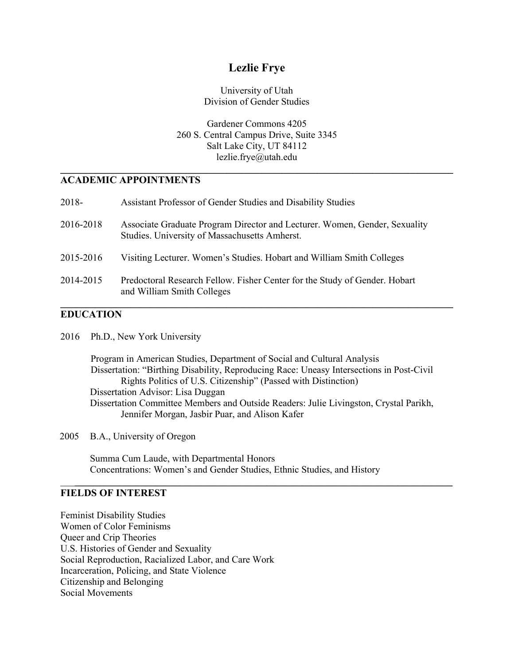# **Lezlie Frye**

University of Utah Division of Gender Studies

Gardener Commons 4205 260 S. Central Campus Drive, Suite 3345 Salt Lake City, UT 84112 lezlie.frye@utah.edu

**\_\_\_\_\_\_\_\_\_\_\_\_\_\_\_\_\_\_\_\_\_\_\_\_\_\_\_\_\_\_\_\_\_\_\_\_\_\_\_\_\_\_\_\_\_\_\_\_\_\_\_\_\_\_\_\_\_\_\_\_\_\_\_\_\_\_\_\_\_\_\_\_\_\_\_\_\_\_**

## **ACADEMIC APPOINTMENTS**

| 2018-     | Assistant Professor of Gender Studies and Disability Studies                                                                |
|-----------|-----------------------------------------------------------------------------------------------------------------------------|
| 2016-2018 | Associate Graduate Program Director and Lecturer. Women, Gender, Sexuality<br>Studies. University of Massachusetts Amherst. |
| 2015-2016 | Visiting Lecturer. Women's Studies. Hobart and William Smith Colleges                                                       |
| 2014-2015 | Predoctoral Research Fellow. Fisher Center for the Study of Gender. Hobart<br>and William Smith Colleges                    |

## **EDUCATION**

2016 Ph.D., New York University

Program in American Studies, Department of Social and Cultural Analysis Dissertation: "Birthing Disability, Reproducing Race: Uneasy Intersections in Post-Civil Rights Politics of U.S. Citizenship" (Passed with Distinction) Dissertation Advisor: Lisa Duggan Dissertation Committee Members and Outside Readers: Julie Livingston, Crystal Parikh, Jennifer Morgan, Jasbir Puar, and Alison Kafer

\_\_\_**\_\_\_\_\_\_\_\_\_\_\_\_\_\_\_\_\_\_\_\_\_\_\_\_\_\_\_\_\_\_\_\_\_\_\_\_\_\_\_\_\_\_\_\_\_\_\_\_\_\_\_\_\_\_\_\_\_\_\_\_\_\_\_\_\_\_\_\_\_\_\_\_\_\_\_**

2005 B.A., University of Oregon

Summa Cum Laude, with Departmental Honors Concentrations: Women's and Gender Studies, Ethnic Studies, and History

#### **FIELDS OF INTEREST**

Feminist Disability Studies Women of Color Feminisms Queer and Crip Theories U.S. Histories of Gender and Sexuality Social Reproduction, Racialized Labor, and Care Work Incarceration, Policing, and State Violence Citizenship and Belonging Social Movements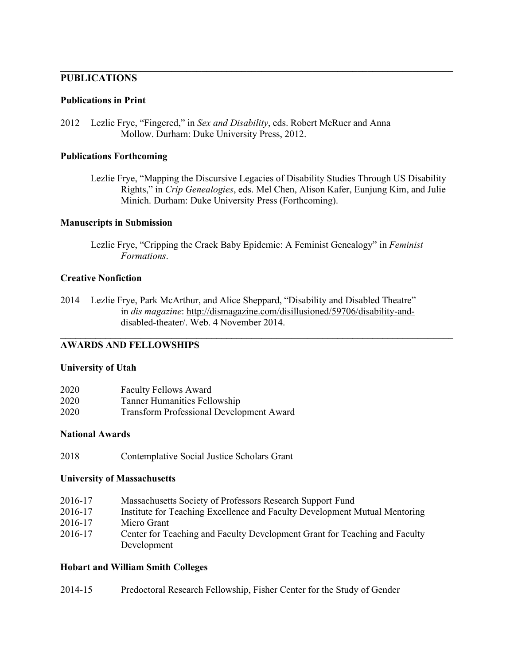# **PUBLICATIONS**

#### **Publications in Print**

2012 Lezlie Frye, "Fingered," in *Sex and Disability*, eds. Robert McRuer and Anna Mollow. Durham: Duke University Press, 2012.

#### **Publications Forthcoming**

Lezlie Frye, "Mapping the Discursive Legacies of Disability Studies Through US Disability Rights," in *Crip Genealogies*, eds. Mel Chen, Alison Kafer, Eunjung Kim, and Julie Minich. Durham: Duke University Press (Forthcoming).

**\_\_\_\_\_\_\_\_\_\_\_\_\_\_\_\_\_\_\_\_\_\_\_\_\_\_\_\_\_\_\_\_\_\_\_\_\_\_\_\_\_\_\_\_\_\_\_\_\_\_\_\_\_\_\_\_\_\_\_\_\_\_\_\_\_\_\_\_\_\_\_\_\_\_\_\_\_\_**

### **Manuscripts in Submission**

Lezlie Frye, "Cripping the Crack Baby Epidemic: A Feminist Genealogy" in *Feminist Formations*.

**\_\_\_\_\_\_\_\_\_\_\_\_\_\_\_\_\_\_\_\_\_\_\_\_\_\_\_\_\_\_\_\_\_\_\_\_\_\_\_\_\_\_\_\_\_\_\_\_\_\_\_\_\_\_\_\_\_\_\_\_\_\_\_\_\_\_\_\_\_\_\_\_\_\_\_\_\_\_**

### **Creative Nonfiction**

2014 Lezlie Frye, Park McArthur, and Alice Sheppard, "Disability and Disabled Theatre" in *dis magazine*: [http://dismagazine.com/disillusioned/59706/disability-and](http://dismagazine.com/disillusioned/59706/disability-and-)disabled-theater/. Web. 4 November 2014.

## **AWARDS AND FELLOWSHIPS**

#### **University of Utah**

| 2020 | <b>Faculty Fellows Award</b>                    |
|------|-------------------------------------------------|
| 2020 | Tanner Humanities Fellowship                    |
| 2020 | <b>Transform Professional Development Award</b> |

#### **National Awards**

2018 Contemplative Social Justice Scholars Grant

#### **University of Massachusetts**

| 2016-17 | Massachusetts Society of Professors Research Support Fund                  |
|---------|----------------------------------------------------------------------------|
| 2016-17 | Institute for Teaching Excellence and Faculty Development Mutual Mentoring |
| 2016-17 | Micro Grant                                                                |
| 2016-17 | Center for Teaching and Faculty Development Grant for Teaching and Faculty |
|         | Development                                                                |

#### **Hobart and William Smith Colleges**

| 2014-15 | Predoctoral Research Fellowship, Fisher Center for the Study of Gender |  |  |  |  |  |  |  |  |
|---------|------------------------------------------------------------------------|--|--|--|--|--|--|--|--|
|---------|------------------------------------------------------------------------|--|--|--|--|--|--|--|--|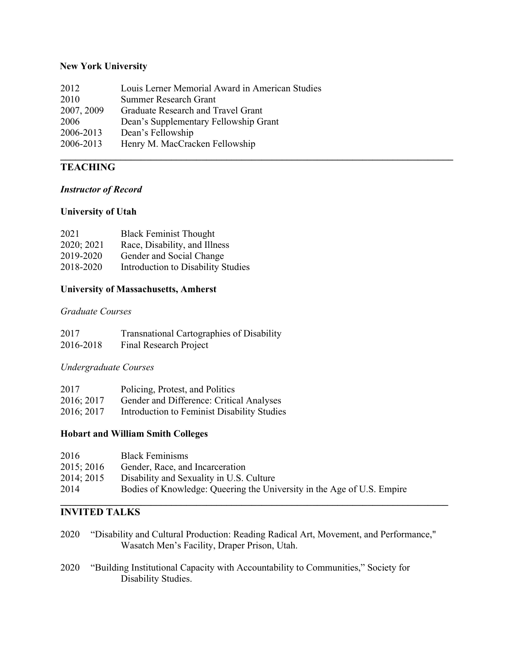# **New York University**

| 2012       | Louis Lerner Memorial Award in American Studies |
|------------|-------------------------------------------------|
| 2010       | Summer Research Grant                           |
| 2007, 2009 | Graduate Research and Travel Grant              |
| 2006       | Dean's Supplementary Fellowship Grant           |
| 2006-2013  | Dean's Fellowship                               |
| 2006-2013  | Henry M. MacCracken Fellowship                  |
|            |                                                 |

# **TEACHING**

# *Instructor of Record*

### **University of Utah**

| 2021       | <b>Black Feminist Thought</b>      |
|------------|------------------------------------|
| 2020; 2021 | Race, Disability, and Illness      |
| 2019-2020  | Gender and Social Change           |
| 2018-2020  | Introduction to Disability Studies |

## **University of Massachusetts, Amherst**

### *Graduate Courses*

| 2017      | Transnational Cartographies of Disability |
|-----------|-------------------------------------------|
| 2016-2018 | Final Research Project                    |

*Undergraduate Courses*

| 2017       | Policing, Protest, and Politics                        |
|------------|--------------------------------------------------------|
| 2016; 2017 | Gender and Difference: Critical Analyses               |
|            | 2016; 2017 Introduction to Feminist Disability Studies |

### **Hobart and William Smith Colleges**

| 2016       | <b>Black Feminisms</b>                                                 |
|------------|------------------------------------------------------------------------|
| 2015; 2016 | Gender, Race, and Incarceration                                        |
| 2014; 2015 | Disability and Sexuality in U.S. Culture                               |
| 2014       | Bodies of Knowledge: Queering the University in the Age of U.S. Empire |

#### **\_\_\_\_\_\_\_\_\_\_\_\_\_\_\_\_\_\_\_\_\_\_\_\_\_\_\_\_\_\_\_\_\_\_\_\_\_\_\_\_\_\_\_\_\_\_\_\_\_\_\_\_\_\_\_\_\_\_\_\_\_\_\_\_\_\_\_\_\_\_\_\_\_\_\_\_\_ INVITED TALKS**

- 2020 "Disability and Cultural Production: Reading Radical Art, Movement, and Performance," Wasatch Men's Facility, Draper Prison, Utah.
- 2020 "Building Institutional Capacity with Accountability to Communities," Society for Disability Studies.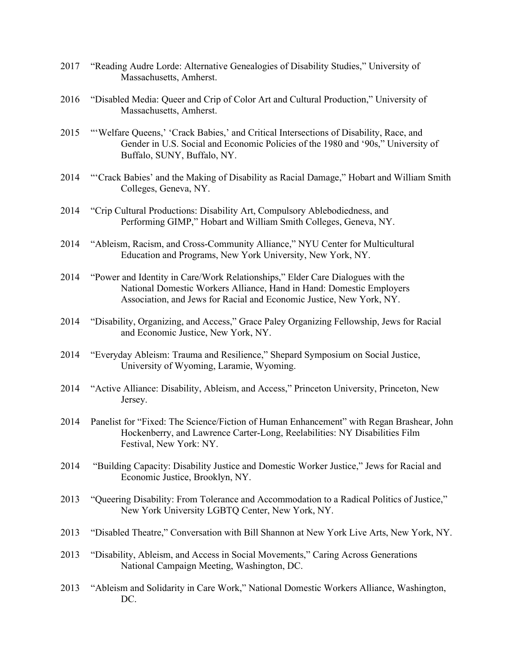- 2017 "Reading Audre Lorde: Alternative Genealogies of Disability Studies," University of Massachusetts, Amherst.
- 2016 "Disabled Media: Queer and Crip of Color Art and Cultural Production," University of Massachusetts, Amherst.
- 2015 "'Welfare Queens,' 'Crack Babies,' and Critical Intersections of Disability, Race, and Gender in U.S. Social and Economic Policies of the 1980 and '90s," University of Buffalo, SUNY, Buffalo, NY.
- 2014 "'Crack Babies' and the Making of Disability as Racial Damage," Hobart and William Smith Colleges, Geneva, NY.
- 2014 "Crip Cultural Productions: Disability Art, Compulsory Ablebodiedness, and Performing GIMP," Hobart and William Smith Colleges, Geneva, NY.
- 2014 "Ableism, Racism, and Cross-Community Alliance," NYU Center for Multicultural Education and Programs, New York University, New York, NY.
- 2014 "Power and Identity in Care/Work Relationships," Elder Care Dialogues with the National Domestic Workers Alliance, Hand in Hand: Domestic Employers Association, and Jews for Racial and Economic Justice, New York, NY.
- 2014 "Disability, Organizing, and Access," Grace Paley Organizing Fellowship, Jews for Racial and Economic Justice, New York, NY.
- 2014 "Everyday Ableism: Trauma and Resilience," Shepard Symposium on Social Justice, University of Wyoming, Laramie, Wyoming.
- 2014 "Active Alliance: Disability, Ableism, and Access," Princeton University, Princeton, New Jersey.
- 2014 Panelist for "Fixed: The Science/Fiction of Human Enhancement" with Regan Brashear, John Hockenberry, and Lawrence Carter-Long, Reelabilities: NY Disabilities Film Festival, New York: NY.
- 2014 "Building Capacity: Disability Justice and Domestic Worker Justice," Jews for Racial and Economic Justice, Brooklyn, NY.
- 2013 "Queering Disability: From Tolerance and Accommodation to a Radical Politics of Justice," New York University LGBTQ Center, New York, NY.
- 2013 "Disabled Theatre," Conversation with Bill Shannon at New York Live Arts, New York, NY.
- 2013 "Disability, Ableism, and Access in Social Movements," Caring Across Generations National Campaign Meeting, Washington, DC.
- 2013 "Ableism and Solidarity in Care Work," National Domestic Workers Alliance, Washington, DC.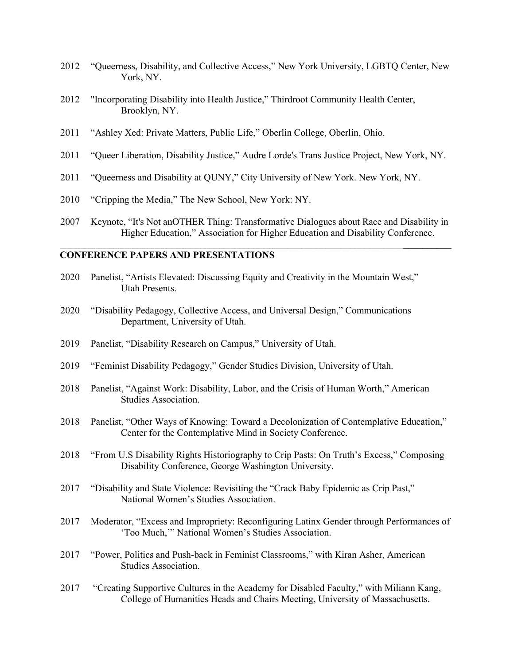- 2012 "Queerness, Disability, and Collective Access," New York University, LGBTQ Center, New York, NY.
- 2012 "Incorporating Disability into Health Justice," Thirdroot Community Health Center, Brooklyn, NY.
- 2011 "Ashley Xed: Private Matters, Public Life," Oberlin College, Oberlin, Ohio.
- 2011 "Queer Liberation, Disability Justice," Audre Lorde's Trans Justice Project, New York, NY.
- 2011 "Queerness and Disability at QUNY," City University of New York. New York, NY.
- 2010 "Cripping the Media," The New School, New York: NY.
- 2007 Keynote, "It's Not anOTHER Thing: Transformative Dialogues about Race and Disability in Higher Education," Association for Higher Education and Disability Conference.

\_\_\_\_\_\_\_\_\_\_\_\_\_\_\_\_\_\_\_\_\_\_\_\_\_\_\_\_\_\_\_\_\_\_\_\_\_\_\_\_\_\_\_\_\_\_\_\_\_\_\_\_\_\_\_\_\_\_\_\_\_\_\_\_\_\_\_\_\_\_\_**\_\_\_\_\_\_\_\_\_\_**

### **CONFERENCE PAPERS AND PRESENTATIONS**

- 2020 Panelist, "Artists Elevated: Discussing Equity and Creativity in the Mountain West," Utah Presents.
- 2020 "Disability Pedagogy, Collective Access, and Universal Design," Communications Department, University of Utah.
- 2019 Panelist, "Disability Research on Campus," University of Utah.
- 2019 "Feminist Disability Pedagogy," Gender Studies Division, University of Utah.
- 2018 Panelist, "Against Work: Disability, Labor, and the Crisis of Human Worth," American Studies Association.
- 2018 Panelist, "Other Ways of Knowing: Toward a Decolonization of Contemplative Education," Center for the Contemplative Mind in Society Conference.
- 2018 "From U.S Disability Rights Historiography to Crip Pasts: On Truth's Excess," Composing Disability Conference, George Washington University.
- 2017 "Disability and State Violence: Revisiting the "Crack Baby Epidemic as Crip Past," National Women's Studies Association.
- 2017 Moderator, "Excess and Impropriety: Reconfiguring Latinx Gender through Performances of 'Too Much,'" National Women's Studies Association.
- 2017 "Power, Politics and Push-back in Feminist Classrooms," with Kiran Asher, American Studies Association.
- 2017 "Creating Supportive Cultures in the Academy for Disabled Faculty," with Miliann Kang, College of Humanities Heads and Chairs Meeting, University of Massachusetts.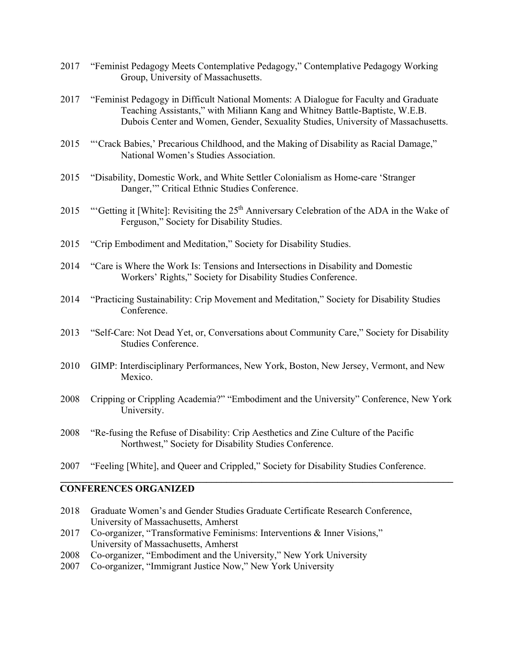- 2017 "Feminist Pedagogy Meets Contemplative Pedagogy," Contemplative Pedagogy Working Group, University of Massachusetts.
- 2017 "Feminist Pedagogy in Difficult National Moments: A Dialogue for Faculty and Graduate Teaching Assistants," with Miliann Kang and Whitney Battle-Baptiste, W.E.B. Dubois Center and Women, Gender, Sexuality Studies, University of Massachusetts.
- 2015 "'Crack Babies,' Precarious Childhood, and the Making of Disability as Racial Damage," National Women's Studies Association.
- 2015 "Disability, Domestic Work, and White Settler Colonialism as Home-care 'Stranger Danger,'" Critical Ethnic Studies Conference.
- 2015 "Getting it [White]: Revisiting the 25<sup>th</sup> Anniversary Celebration of the ADA in the Wake of Ferguson," Society for Disability Studies.
- 2015 "Crip Embodiment and Meditation," Society for Disability Studies.
- 2014 "Care is Where the Work Is: Tensions and Intersections in Disability and Domestic Workers' Rights," Society for Disability Studies Conference.
- 2014 "Practicing Sustainability: Crip Movement and Meditation," Society for Disability Studies Conference.
- 2013 "Self-Care: Not Dead Yet, or, Conversations about Community Care," Society for Disability Studies Conference.
- 2010 GIMP: Interdisciplinary Performances, New York, Boston, New Jersey, Vermont, and New Mexico.
- 2008 Cripping or Crippling Academia?" "Embodiment and the University" Conference, New York University.

**\_\_\_\_\_\_\_\_\_\_\_\_\_\_\_\_\_\_\_\_\_\_\_\_\_\_\_\_\_\_\_\_\_\_\_\_\_\_\_\_\_\_\_\_\_\_\_\_\_\_\_\_\_\_\_\_\_\_\_\_\_\_\_\_\_\_\_\_\_\_\_\_\_\_\_\_\_\_**

- 2008 "Re-fusing the Refuse of Disability: Crip Aesthetics and Zine Culture of the Pacific Northwest," Society for Disability Studies Conference.
- 2007 "Feeling [White], and Queer and Crippled," Society for Disability Studies Conference.

#### **CONFERENCES ORGANIZED**

- 2018 Graduate Women's and Gender Studies Graduate Certificate Research Conference, University of Massachusetts, Amherst
- 2017 Co-organizer, "Transformative Feminisms: Interventions & Inner Visions," University of Massachusetts, Amherst
- 2008 Co-organizer, "Embodiment and the University," New York University
- 2007 Co-organizer, "Immigrant Justice Now," New York University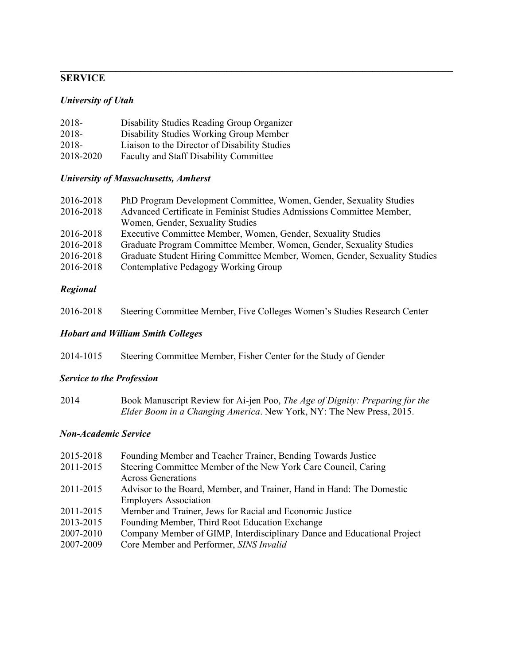### **\_\_\_\_\_\_\_\_\_\_\_\_\_\_\_\_\_\_\_\_\_\_\_\_\_\_\_\_\_\_\_\_\_\_\_\_\_\_\_\_\_\_\_\_\_\_\_\_\_\_\_\_\_\_\_\_\_\_\_\_\_\_\_\_\_\_\_\_\_\_\_\_\_\_\_\_\_\_ SERVICE**

## *University of Utah*

| 2018-     | Disability Studies Reading Group Organizer    |
|-----------|-----------------------------------------------|
| 2018-     | Disability Studies Working Group Member       |
| 2018-     | Liaison to the Director of Disability Studies |
| 2018-2020 | <b>Faculty and Staff Disability Committee</b> |

# *University of Massachusetts, Amherst*

| 2016-2018 | PhD Program Development Committee, Women, Gender, Sexuality Studies        |
|-----------|----------------------------------------------------------------------------|
| 2016-2018 | Advanced Certificate in Feminist Studies Admissions Committee Member,      |
|           | Women, Gender, Sexuality Studies                                           |
| 2016-2018 | Executive Committee Member, Women, Gender, Sexuality Studies               |
| 2016-2018 | Graduate Program Committee Member, Women, Gender, Sexuality Studies        |
| 2016-2018 | Graduate Student Hiring Committee Member, Women, Gender, Sexuality Studies |
| 2016-2018 | Contemplative Pedagogy Working Group                                       |

# *Regional*

| 2016-2018 |  |  | Steering Committee Member, Five Colleges Women's Studies Research Center |  |
|-----------|--|--|--------------------------------------------------------------------------|--|
|-----------|--|--|--------------------------------------------------------------------------|--|

# *Hobart and William Smith Colleges*

| 2014-1015 | Steering Committee Member, Fisher Center for the Study of Gender |  |  |
|-----------|------------------------------------------------------------------|--|--|
|           |                                                                  |  |  |

# *Service to the Profession*

| 2014 | Book Manuscript Review for Ai-jen Poo, The Age of Dignity: Preparing for the |
|------|------------------------------------------------------------------------------|
|      | <i>Elder Boom in a Changing America.</i> New York, NY: The New Press, 2015.  |

### *Non-Academic Service*

| 2015-2018 | Founding Member and Teacher Trainer, Bending Towards Justice            |
|-----------|-------------------------------------------------------------------------|
| 2011-2015 | Steering Committee Member of the New York Care Council, Caring          |
|           | <b>Across Generations</b>                                               |
| 2011-2015 | Advisor to the Board, Member, and Trainer, Hand in Hand: The Domestic   |
|           | <b>Employers Association</b>                                            |
| 2011-2015 | Member and Trainer, Jews for Racial and Economic Justice                |
| 2013-2015 | Founding Member, Third Root Education Exchange                          |
| 2007-2010 | Company Member of GIMP, Interdisciplinary Dance and Educational Project |
| 2007-2009 | Core Member and Performer, SINS Invalid                                 |
|           |                                                                         |